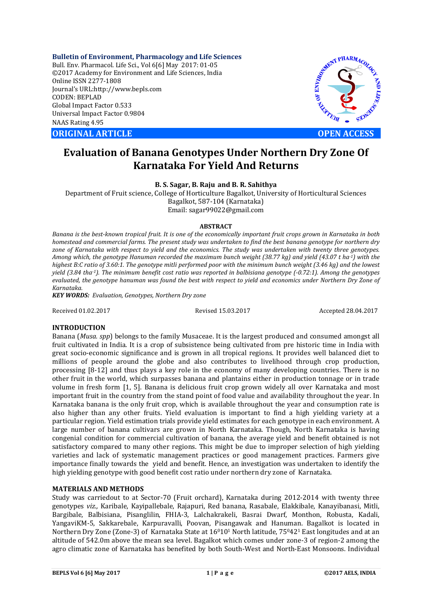**Bulletin of Environment, Pharmacology and Life Sciences** Bull. Env. Pharmacol. Life Sci., Vol 6[6] May 2017: 01-05 ©2017 Academy for Environment and Life Sciences, India Online ISSN 2277-1808 Journal's URL:http://www.bepls.com CODEN: BEPLAD Global Impact Factor 0.533 Universal Impact Factor 0.9804 NAAS Rating 4.95

**ORIGINAL ARTICLE OPEN ACCESS** 



# **Evaluation of Banana Genotypes Under Northern Dry Zone Of Karnataka For Yield And Returns**

**B. S. Sagar, B. Raju and B. R. Sahithya**

Department of Fruit science, College of Horticulture Bagalkot, University of Horticultural Sciences Bagalkot, 587-104 (Karnataka) Email: sagar99022@gmail.com

#### **ABSTRACT**

*Banana is the best-known tropical fruit. It is one of the economically important fruit crops grown in Karnataka in both homestead and commercial farms. The present study was undertaken to find the best banana genotype for northern dry zone of Karnataka with respect to yield and the economics. The study was undertaken with twenty three genotypes. Among which, the genotype Hanuman recorded the maximum bunch weight (38.77 kg) and yield (43.07 t ha-1) with the highest B:C ratio of 3.60:1. The genotype mitli performed poor with the minimum bunch weight (3.46 kg) and the lowest yield (3.84 tha-1). The minimum benefit cost ratio was reported in balbisiana genotype (-0.72:1). Among the genotypes evaluated, the genotype hanuman was found the best with respect to yield and economics under Northern Dry Zone of Karnataka.*

*KEY WORDS: Evaluation, Genotypes, Northern Dry zone*

Received 01.02.2017 Revised 15.03.2017 Accepted 28.04.2017

## **INTRODUCTION**

Banana (*Musa. spp*) belongs to the family Musaceae. It is the largest produced and consumed amongst all fruit cultivated in India. It is a crop of subsistence being cultivated from pre historic time in India with great socio-economic significance and is grown in all tropical regions. It provides well balanced diet to millions of people around the globe and also contributes to livelihood through crop production, processing [8-12] and thus plays a key role in the economy of many developing countries. There is no other fruit in the world, which surpasses banana and plantains either in production tonnage or in trade volume in fresh form [1, 5]. Banana is delicious fruit crop grown widely all over Karnataka and most important fruit in the country from the stand point of food value and availability throughout the year. In Karnataka banana is the only fruit crop, which is available throughout the year and consumption rate is also higher than any other fruits. Yield evaluation is important to find a high yielding variety at a particular region. Yield estimation trials provide yield estimates for each genotype in each environment. A large number of banana cultivars are grown in North Karnataka. Though, North Karnataka is having congenial condition for commercial cultivation of banana, the average yield and benefit obtained is not satisfactory compared to many other regions. This might be due to improper selection of high yielding varieties and lack of systematic management practices or good management practices. Farmers give importance finally towards the yield and benefit. Hence, an investigation was undertaken to identify the high yielding genotype with good benefit cost ratio under northern dry zone of Karnataka.

## **MATERIALS AND METHODS**

Study was carriedout to at Sector-70 (Fruit orchard), Karnataka during 2012-2014 with twenty three genotypes *viz.,* Karibale, Kayipallebale, Rajapuri, Red banana, Rasabale, Elakkibale, Kanayibanasi, Mitli, Bargibale, Balbisiana, Pisanglilin, FHIA-3, Lalchakrakeli, Basrai Dwarf, Monthon, Robusta, Kadali, YangaviKM-5, Sakkarebale, Karpuravalli, Poovan, Pisangawak and Hanuman. Bagalkot is located in Northern Dry Zone (Zone-3) of Karnataka State at  $16^010^1$  North latitude, 75<sup>0</sup>42<sup>1</sup> East longitudes and at an altitude of 542.0m above the mean sea level. Bagalkot which comes under zone-3 of region-2 among the agro climatic zone of Karnataka has benefited by both South-West and North-East Monsoons. Individual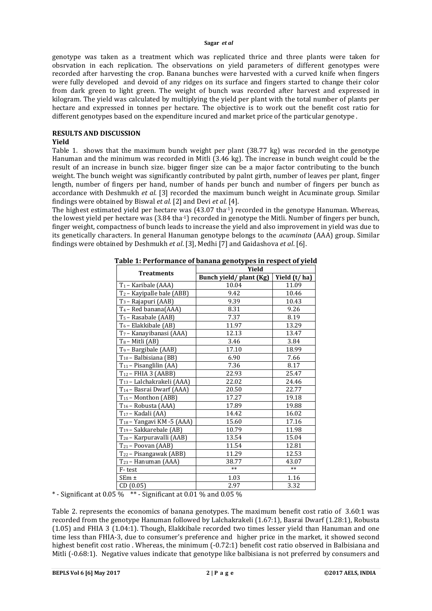#### **Sagar** *et al*

genotype was taken as a treatment which was replicated thrice and three plants were taken for obsrvation in each replication. The observations on yield parameters of different genotypes were recorded after harvesting the crop. Banana bunches were harvested with a curved knife when fingers were fully developed and devoid of any ridges on its surface and fingers started to change their color from dark green to light green. The weight of bunch was recorded after harvest and expressed in kilogram. The yield was calculated by multiplying the yield per plant with the total number of plants per hectare and expressed in tonnes per hectare. The objective is to work out the benefit cost ratio for different genotypes based on the expenditure incured and market price of the particular genotype .

# **RESULTS AND DISCUSSION**

## **Yield**

Table 1. shows that the maximum bunch weight per plant (38.77 kg) was recorded in the genotype Hanuman and the minimum was recorded in Mitli (3.46 kg). The increase in bunch weight could be the result of an increase in bunch size. bigger finger size can be a major factor contributing to the bunch weight. The bunch weight was significantly contributed by palnt girth, number of leaves per plant, finger length, number of fingers per hand, number of hands per bunch and number of fingers per bunch as accordance with Deshmukh *et al.* [3] recorded the maximum bunch weight in Acuminate group. Similar findings were obtained by Biswal *et al.* [2] and Devi *et al.* [4].

The highest estimated yield per hectare was  $(43.07 \text{ tha}^{-1})$  recorded in the genotype Hanuman. Whereas, the lowest yield per hectare was (3.84 tha-1) recorded in genotype the Mitli. Number of fingers per bunch, finger weight, compactness of bunch leads to increase the yield and also improvement in yield was due to its genetically characters. In general Hanuman genotype belongs to the *acuminata* (AAA) group. Similar findings were obtained by Deshmukh *et al*. [3], Medhi [7] and Gaidashova *et al*. [6].

| <b>Treatments</b>                     | Yield                  |              |  |  |
|---------------------------------------|------------------------|--------------|--|--|
|                                       | Bunch yield/plant (Kg) | Yield (t/ha) |  |  |
| $T_1$ – Karibale (AAA)                | 10.04                  | 11.09        |  |  |
| $T_2$ – Kayipalle bale (ABB)          | 9.42                   | 10.46        |  |  |
| T <sub>3</sub> – Rajapuri (AAB)       | 9.39                   | 10.43        |  |  |
| $T_4$ – Red banana(AAA)               | 8.31                   | 9.26         |  |  |
| T <sub>5</sub> – Rasabale (AAB)       | 7.37                   | 8.19         |  |  |
| $T_6$ – Elakkibale (AB)               | 11.97                  | 13.29        |  |  |
| T <sub>7</sub> - Kanayibanasi (AAA)   | 12.13                  | 13.47        |  |  |
| $T_8$ – Mitli (AB)                    | 3.46                   | 3.84         |  |  |
| T <sub>9</sub> - Bargibale (AAB)      | 17.10                  | 18.99        |  |  |
| T <sub>10</sub> – Balbisiana (BB)     | 6.90                   | 7.66         |  |  |
| $T_{11}$ – Pisanglilin (AA)           | 7.36                   | 8.17         |  |  |
| $T_{12}$ – FHIA 3 (AABB)              | 22.93                  | 25.47        |  |  |
| T <sub>13</sub> – Lalchakrakeli (AAA) | 22.02                  | 24.46        |  |  |
| T <sub>14</sub> – Basrai Dwarf (AAA)  | 20.50                  | 22.77        |  |  |
| $T_{15}$ – Monthon (ABB)              | 17.27                  | 19.18        |  |  |
| T <sub>16</sub> – Robusta (AAA)       | 17.89                  | 19.88        |  |  |
| $T_{17}$ – Kadali (AA)                | 14.42                  | 16.02        |  |  |
| T <sub>18</sub> - Yangavi KM -5 (AAA) | 15.60                  | 17.16        |  |  |
| $T_{19}$ – Sakkarebale (AB)           | 10.79                  | 11.98        |  |  |
| T <sub>20</sub> – Karpuravalli (AAB)  | 13.54                  | 15.04        |  |  |
| T <sub>21</sub> - Poovan (AAB)        | 11.54                  | 12.81        |  |  |
| T <sub>22</sub> – Pisangawak (ABB)    | 11.29                  | 12.53        |  |  |
| $T_{23}$ – Hanuman (AAA)              | 38.77                  | 43.07        |  |  |
| F-test                                | $**$                   | $**$         |  |  |
| $SEm \pm$                             | 1.03                   | 1.16         |  |  |
| CD(0.05)                              | 2.97                   | 3.32         |  |  |

**Table 1: Performance of banana genotypes in respect of yield**

\* - Significant at 0.05 %  $*$  + Significant at 0.01 % and 0.05 %

Table 2. represents the economics of banana genotypes. The maximum benefit cost ratio of 3.60:1 was recorded from the genotype Hanuman followed by Lalchakrakeli (1.67:1), Basrai Dwarf (1.28:1), Robusta (1.05) and FHIA 3 (1.04:1). Though, Elakkibale recorded two times lesser yield than Hanuman and one time less than FHIA-3, due to consumer's preference and higher price in the market, it showed second highest benefit cost ratio . Whereas, the minimum (-0.72:1) benefit cost ratio observed in Balbisiana and Mitli (-0.68:1). Negative values indicate that genotype like balbisiana is not preferred by consumers and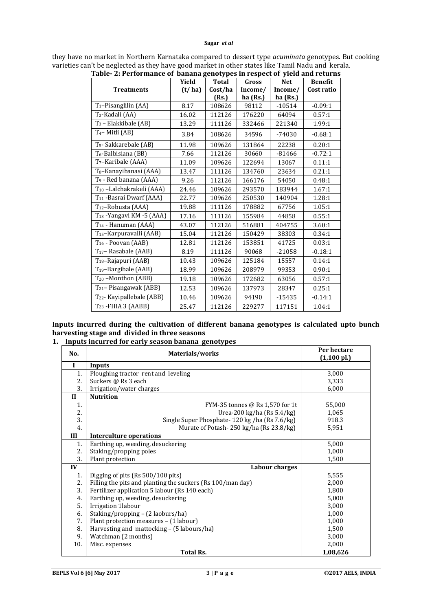## **Sagar** *et al*

| they have no market in Northern Karnataka compared to dessert type <i>acuminata</i> genotypes. But cooking |
|------------------------------------------------------------------------------------------------------------|
| varieties can't be neglected as they have good market in other states like Tamil Nadu and kerala.          |

| Table- 2: Performance of banana genotypes in respect of yield and returns |        |              |          |            |                |
|---------------------------------------------------------------------------|--------|--------------|----------|------------|----------------|
|                                                                           | Yield  | <b>Total</b> | Gross    | <b>Net</b> | <b>Benefit</b> |
| <b>Treatments</b>                                                         | (t/ha) | Cost/ha      | Income/  | Income/    | Cost ratio     |
|                                                                           |        | (Rs.)        | ha (Rs.) | ha (Rs.)   |                |
| $T_1$ –Pisanglilin (AA)                                                   | 8.17   | 108626       | 98112    | $-10514$   | $-0.09:1$      |
| T <sub>2</sub> -Kadali (AA)                                               | 16.02  | 112126       | 176220   | 64094      | 0.57:1         |
| $T_3$ – Elakkibale (AB)                                                   | 13.29  | 111126       | 332466   | 221340     | 1.99:1         |
| $T_4$ – Mitli (AB)                                                        | 3.84   | 108626       | 34596    | $-74030$   | $-0.68:1$      |
| T <sub>5</sub> - Sakkarebale (AB)                                         | 11.98  | 109626       | 131864   | 22238      | 0.20:1         |
| T <sub>6</sub> -Balbisiana (BB)                                           | 7.66   | 112126       | 30660    | $-81466$   | $-0.72:1$      |
| T <sub>7</sub> -Karibale (AAA)                                            | 11.09  | 109626       | 122694   | 13067      | 0.11:1         |
| T <sub>8</sub> -Kanayibanasi (AAA)                                        | 13.47  | 111126       | 134760   | 23634      | 0.21:1         |
| T <sub>9</sub> - Red banana (AAA)                                         | 9.26   | 112126       | 166176   | 54050      | 0.48:1         |
| T <sub>10</sub> -Lalchakrakeli (AAA)                                      | 24.46  | 109626       | 293570   | 183944     | 1.67:1         |
| T <sub>11</sub> -Basrai Dwarf (AAA)                                       | 22.77  | 109626       | 250530   | 140904     | 1.28:1         |
| T <sub>12</sub> -Robusta (AAA)                                            | 19.88  | 111126       | 178882   | 67756      | 1.05:1         |
| T <sub>13</sub> - Yangavi KM - 5 (AAA)                                    | 17.16  | 111126       | 155984   | 44858      | 0.55:1         |
| $T_{14}$ - Hanuman (AAA)                                                  | 43.07  | 112126       | 516881   | 404755     | 3.60:1         |
| T <sub>15</sub> -Karpuravalli (AAB)                                       | 15.04  | 112126       | 150429   | 38303      | 0.34:1         |
| T <sub>16</sub> - Poovan (AAB)                                            | 12.81  | 112126       | 153851   | 41725      | 0.03:1         |
| T <sub>17</sub> -Rasabale (AAB)                                           | 8.19   | 111126       | 90068    | $-21058$   | $-0.18:1$      |
| T <sub>18</sub> -Rajapuri (AAB)                                           | 10.43  | 109626       | 125184   | 15557      | 0.14:1         |
| $T_{19}$ -Bargibale (AAB)                                                 | 18.99  | 109626       | 208979   | 99353      | 0.90:1         |
| $T_{20}$ –Monthon (ABB)                                                   | 19.18  | 109626       | 172682   | 63056      | 0.57:1         |
| T <sub>21</sub> -Pisangawak (ABB)                                         | 12.53  | 109626       | 137973   | 28347      | 0.25:1         |
| T <sub>22</sub> - Kayipallebale (ABB)                                     | 10.46  | 109626       | 94190    | $-15435$   | $-0.14:1$      |
| T <sub>23</sub> - FHIA 3 (AABB)                                           | 25.47  | 112126       | 229277   | 117151     | 1.04:1         |

**Inputs incurred during the cultivation of different banana genotypes is calculated upto bunch harvesting stage and divided in three seasons**

**1. Inputs incurred for early season banana genotypes**

| No.          | Materials/works                                            | Per hectare<br>$(1,100 \text{ pl.})$ |
|--------------|------------------------------------------------------------|--------------------------------------|
| $\mathbf{I}$ | Inputs                                                     |                                      |
| 1.           | Ploughing tractor rent and leveling                        | 3,000                                |
| 2.           | Suckers @ Rs 3 each                                        | 3,333                                |
| 3.           | Irrigation/water charges                                   | 6,000                                |
| $\mathbf{I}$ | <b>Nutrition</b>                                           |                                      |
| 1.           | FYM-35 tonnes @ Rs 1,570 for 1t                            | 55,000                               |
| 2.           | Urea-200 kg/ha (Rs $5.4$ /kg)                              | 1,065                                |
| 3.           | Single Super Phosphate-120 kg /ha (Rs 7.6/kg)              | 918.3                                |
| 4.           | Murate of Potash-250 kg/ha (Rs 23.8/kg)                    | 5,951                                |
| III          | <b>Interculture operations</b>                             |                                      |
| 1.           | Earthing up, weeding, desuckering                          | 5,000                                |
| 2.           | Staking/propping poles                                     | 1,000                                |
| 3.           | Plant protection                                           | 1,500                                |
| IV           | <b>Labour charges</b>                                      |                                      |
| 1.           | Digging of pits (Rs 500/100 pits)                          | 5,555                                |
| 2.           | Filling the pits and planting the suckers (Rs 100/man day) | 2,000                                |
| 3.           | Fertilizer application 5 labour (Rs 140 each)              | 1,800                                |
| 4.           | Earthing up, weeding, desuckering                          | 5,000                                |
| 5.           | Irrigation 1labour                                         | 3,000                                |
| 6.           | Staking/propping - (2 laoburs/ha)                          | 1,000                                |
| 7.           | Plant protection measures - (1 labour)                     | 1,000                                |
| 8.           | Harvesting and mattocking – (5 labours/ha)                 | 1,500                                |
| 9.           | Watchman (2 months)                                        | 3,000                                |
| 10.          | Misc. expenses                                             | 2,000                                |
|              | <b>Total Rs.</b>                                           | 1,08,626                             |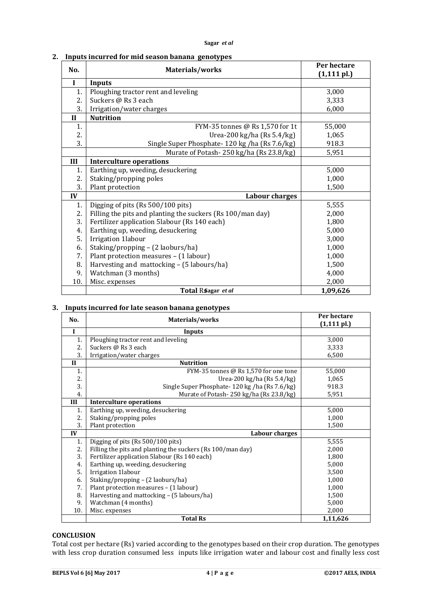|  | 2. Inputs incurred for mid season banana genotypes |  |  |  |
|--|----------------------------------------------------|--|--|--|
|--|----------------------------------------------------|--|--|--|

| No.          | Materials/works                                            | Per hectare<br>$(1, 111 \text{ pl.})$ |
|--------------|------------------------------------------------------------|---------------------------------------|
| I            | <b>Inputs</b>                                              |                                       |
| 1.           | Ploughing tractor rent and leveling                        | 3,000                                 |
| 2.           | Suckers @ Rs 3 each                                        | 3,333                                 |
| 3.           | Irrigation/water charges                                   | 6,000                                 |
| $\mathbf{I}$ | <b>Nutrition</b>                                           |                                       |
| 1.           | FYM-35 tonnes @ Rs 1,570 for 1t                            | 55,000                                |
| 2.           | Urea-200 kg/ha (Rs 5.4/kg)                                 | 1,065                                 |
| 3.           | Single Super Phosphate-120 kg /ha (Rs 7.6/kg)              | 918.3                                 |
|              | Murate of Potash-250 kg/ha (Rs 23.8/kg)                    | 5,951                                 |
| III          | <b>Interculture operations</b>                             |                                       |
| 1.           | Earthing up, weeding, desuckering                          | 5,000                                 |
| 2.           | Staking/propping poles                                     | 1,000                                 |
| 3.           | Plant protection                                           | 1,500                                 |
| IV           | <b>Labour charges</b>                                      |                                       |
| 1.           | Digging of pits (Rs 500/100 pits)                          | 5,555                                 |
| 2.           | Filling the pits and planting the suckers (Rs 100/man day) | 2,000                                 |
| 3.           | Fertilizer application 5labour (Rs 140 each)               | 1,800                                 |
| 4.           | Earthing up, weeding, desuckering                          | 5,000                                 |
| 5.           | Irrigation 1labour                                         | 3,000                                 |
| 6.           | Staking/propping - (2 laoburs/ha)                          | 1,000                                 |
| 7.           | Plant protection measures - (1 labour)                     | 1,000                                 |
| 8.           | Harvesting and mattocking - (5 labours/ha)                 | 1,500                                 |
| 9.           | Watchman (3 months)                                        | 4,000                                 |
| 10.          | Misc. expenses                                             | 2,000                                 |
|              | Total RSagar et al                                         | 1,09,626                              |

# **3. Inputs incurred for late season banana genotypes**

| No.          | Materials/works                                            | Per hectare    |
|--------------|------------------------------------------------------------|----------------|
|              |                                                            | $(1, 111$ pl.) |
| $\mathbf I$  | Inputs                                                     |                |
| 1.           | Ploughing tractor rent and leveling                        | 3,000          |
| 2.           | Suckers @ Rs 3 each                                        | 3,333          |
| 3.           | Irrigation/water charges                                   | 6,500          |
| $\mathbf{I}$ | <b>Nutrition</b>                                           |                |
| 1.           | FYM-35 tonnes @ Rs 1,570 for one tone                      | 55,000         |
| 2.           | Urea-200 kg/ha (Rs $5.4/kg$ )                              | 1,065          |
| 3.           | Single Super Phosphate-120 kg /ha (Rs 7.6/kg)              | 918.3          |
| 4.           | Murate of Potash-250 kg/ha (Rs 23.8/kg)                    | 5,951          |
| III          | <b>Interculture operations</b>                             |                |
| 1.           | Earthing up, weeding, desuckering                          | 5,000          |
| 2.           | Staking/propping poles                                     | 1,000          |
| 3.           | Plant protection                                           | 1,500          |
| IV           | Labour charges                                             |                |
| 1.           | Digging of pits (Rs 500/100 pits)                          | 5,555          |
| 2.           | Filling the pits and planting the suckers (Rs 100/man day) | 2,000          |
| 3.           | Fertilizer application 5labour (Rs 140 each)               | 1,800          |
| 4.           | Earthing up, weeding, desuckering                          | 5,000          |
| 5.           | Irrigation 1labour                                         | 3,500          |
| 6.           | Staking/propping – (2 laoburs/ha)                          | 1,000          |
| 7.           | Plant protection measures - (1 labour)                     | 1,000          |
| 8.           | Harvesting and mattocking – (5 labours/ha)                 | 1,500          |
| 9.           | Watchman (4 months)                                        | 5,000          |
| 10.          | Misc. expenses                                             | 2,000          |
|              | <b>Total Rs</b>                                            | 1,11,626       |

# **CONCLUSION**

Total cost per hectare (Rs) varied according to the genotypes based on their crop duration. The genotypes with less crop duration consumed less inputs like irrigation water and labour cost and finally less cost